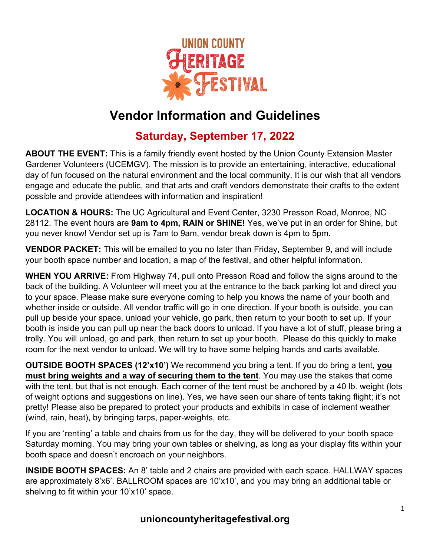

## **Vendor Information and Guidelines**

## **Saturday, September 17, 2022**

**ABOUT THE EVENT:** This is a family friendly event hosted by the Union County Extension Master Gardener Volunteers (UCEMGV). The mission is to provide an entertaining, interactive, educational day of fun focused on the natural environment and the local community. It is our wish that all vendors engage and educate the public, and that arts and craft vendors demonstrate their crafts to the extent possible and provide attendees with information and inspiration!

**LOCATION & HOURS:** The UC Agricultural and Event Center, 3230 Presson Road, Monroe, NC 28112. The event hours are **9am to 4pm, RAIN or SHINE!** Yes, we've put in an order for Shine, but you never know! Vendor set up is 7am to 9am, vendor break down is 4pm to 5pm.

**VENDOR PACKET:** This will be emailed to you no later than Friday, September 9, and will include your booth space number and location, a map of the festival, and other helpful information.

**WHEN YOU ARRIVE:** From Highway 74, pull onto Presson Road and follow the signs around to the back of the building. A Volunteer will meet you at the entrance to the back parking lot and direct you to your space. Please make sure everyone coming to help you knows the name of your booth and whether inside or outside. All vendor traffic will go in one direction. If your booth is outside, you can pull up beside your space, unload your vehicle, go park, then return to your booth to set up. If your booth is inside you can pull up near the back doors to unload. If you have a lot of stuff, please bring a trolly. You will unload, go and park, then return to set up your booth. Please do this quickly to make room for the next vendor to unload. We will try to have some helping hands and carts available.

**OUTSIDE BOOTH SPACES (12'x10')** We recommend you bring a tent. If you do bring a tent, **you must bring weights and a way of securing them to the tent**. You may use the stakes that come with the tent, but that is not enough. Each corner of the tent must be anchored by a 40 lb. weight (lots of weight options and suggestions on line). Yes, we have seen our share of tents taking flight; it's not pretty! Please also be prepared to protect your products and exhibits in case of inclement weather (wind, rain, heat), by bringing tarps, paper-weights, etc.

If you are 'renting' a table and chairs from us for the day, they will be delivered to your booth space Saturday morning. You may bring your own tables or shelving, as long as your display fits within your booth space and doesn't encroach on your neighbors.

**INSIDE BOOTH SPACES:** An 8' table and 2 chairs are provided with each space. HALLWAY spaces are approximately 8'x6'. BALLROOM spaces are 10'x10', and you may bring an additional table or shelving to fit within your 10'x10' space.